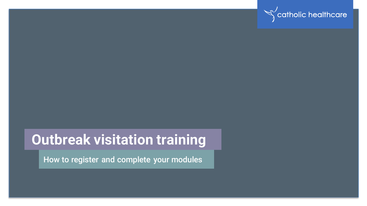

## **Outbreak visitation training**

How to register and complete your modules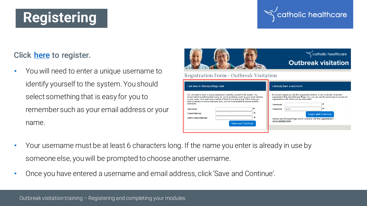# **Registering**

### nolic healthcare

### Click [here](http://bttr.im/d94nk) to register.

• You will need to enter a unique username to identify yourself to the system. You should select something that is easy for you to remember such as your email address or your name.



| usemame.                    |                   | Username              |                                                                   |                           |
|-----------------------------|-------------------|-----------------------|-------------------------------------------------------------------|---------------------------|
| Username                    |                   | Password<br>          |                                                                   |                           |
| <b>Fmail Address</b>        |                   |                       |                                                                   | <b>Login and Continue</b> |
| <b>Verify Email Address</b> |                   |                       | Already use MylmpactPage.com to volunteer with this organisation? |                           |
|                             | Save and Continue | Go to volunteer login |                                                                   |                           |

- Your username must be at least 6 characters long. If the name you enter is already in use by someone else, you will be prompted to choose another username.
- Once you have entered a username and email address, click 'Save and Continue'.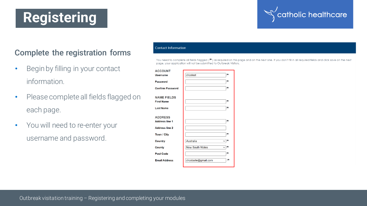# **Registering**

### catholic healthcare

### Complete the registration forms

- Begin by filling in your contact information.
- Please complete all fields flagged on each page.
- You will need to re-enter your username and password.

| ntact Information |  |
|-------------------|--|
|                   |  |

You need to complete all fields flagged (<sup>10</sup>) as required on this page and on the next one. If you don't fill in all required fields and click save on the next page, your application will not be submitted to Outbreak Visitors.

| <b>ACCOUNT</b>                                                   |                        |           |
|------------------------------------------------------------------|------------------------|-----------|
| <b>Username</b>                                                  | chcstest               | (Rd       |
| <b>Password</b>                                                  |                        | (Rd       |
| <b>Confirm Password</b>                                          |                        | (Rd       |
| <b>NAME FIELDS</b><br><b>First Name</b>                          |                        | (Rd       |
| <b>Last Name</b>                                                 |                        | (Rd       |
| <b>ADDRESS</b><br><b>Address line 1</b><br><b>Address line 2</b> |                        | (Rd       |
| Town / City                                                      |                        | (Rd       |
| Country                                                          | Australia              | <b>IN</b> |
| <b>County</b>                                                    | <b>New South Wales</b> | $\vee$  N |
| <b>Post Code</b>                                                 |                        | (Rd       |
| <b>Email Address</b>                                             | chcstaste@gmail.com    | <b>IN</b> |
|                                                                  |                        |           |

Outbreak visitation training – Registering and completing your modules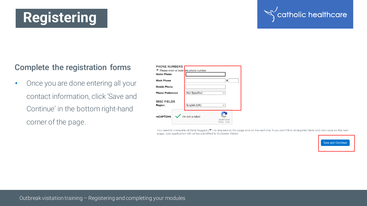#### Outbreak visitation training – Registering and completing your modules

### Complete the registration forms

**Registering**

• Once you are done entering all your contact information, click 'Save and Continue' in the bottom right-hand corner of the page.

| <b>PHONE NUMBERS</b>                   |                                                        |
|----------------------------------------|--------------------------------------------------------|
| Please enter at least one phone number |                                                        |
| <b>Home Phone</b>                      |                                                        |
| <b>Work Phone</b>                      | X                                                      |
| <b>Mobile Phone</b>                    |                                                        |
| <b>Phone Preference</b>                | Not Specified<br>$\checkmark$                          |
| <b>MISC FIELDS</b><br><b>Region</b>    | English (UK)<br>$\checkmark$                           |
| <b>reCAPTCHA</b>                       | I'm not a robot<br><b>reCAPTCHA</b><br>Privacy - Terms |

You need to complete all fields flagged (<sup>Ne</sup>) as required on this page and on the next one. If you don't fill in all required fields and click save on the next page, your application will not be submitted to Outbreak Visitors.



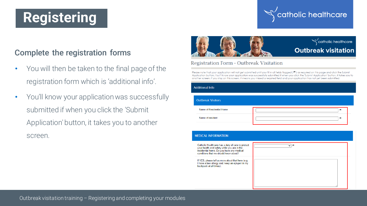# **Registering**

### catholic healthcare

#### Complete the registration forms

- You will then be taken to the final page of the registration form which is 'additional info'.
- You'll know your application was successfully submitted if when you click the 'Submit Application' button, it takes you to another screen.



#### Registration Form - Outbreak Visitation

backpack at all times)

Please note that your application will not get submitted until you fill in all fields flagged (M) as required on this page and click the Submit Application button. You'll know your application was successfully submitted if when you click the 'Submit Application' button, it takes you to another screen. If you stay on this screen, it means you missed a required field and your application has not yet been submitted.

| <b>Additional Info</b>                                                                                                                                                                 |           |   |  |
|----------------------------------------------------------------------------------------------------------------------------------------------------------------------------------------|-----------|---|--|
| <b>Outbreak Visitors</b>                                                                                                                                                               |           |   |  |
| Name of Residential Home                                                                                                                                                               |           | 陶 |  |
| Name of resident                                                                                                                                                                       |           | p |  |
|                                                                                                                                                                                        |           |   |  |
| <b>MEDICAL INFORMATION</b>                                                                                                                                                             |           |   |  |
| Catholic Healthcare has a duty of care to protect<br>your health and safety while you are in the<br>residential home. Do you have any medical<br>conditions that we should know about? | $\vee$  N |   |  |
| If YES, please tell us more about that here (e.g.<br>I have a hop alloray and koop an onlinen in my                                                                                    |           |   |  |

Outbreak visitation training – Registering and completing your modules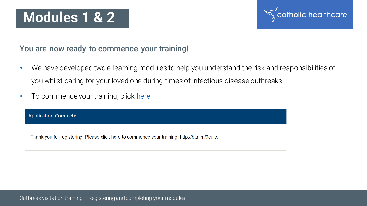## **Modules 1 & 2**



#### You are now ready to commence your training!

- We have developed two e-learning modules to help you understand the risk and responsibilities of you whilst caring for your loved one during times of infectious disease outbreaks.
- To commence your training, click [here](http://bttr.im/9cuko).

**Application Complete** 

Thank you for registering. Please click here to commence your training: http://bttr.im/9cuko

Outbreak visitation training – Registering and completing your modules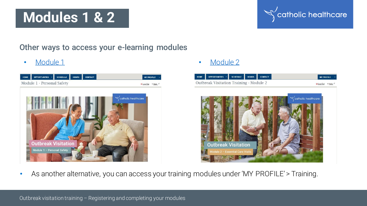## **Modules 1 & 2**

#### Other ways to access your e-learning modules



• [Module 1](http://bttr.im/9cuko) • [Module 2](http://bttr.im/kfcr7)



catholic healthcare

As another alternative, you can access your training modules under 'MY PROFILE' > Training.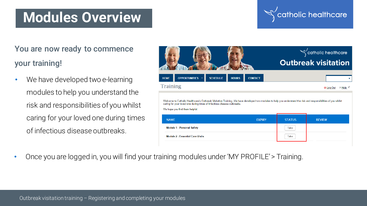### **Modules Overview**

### **olic** healthcare

You are now ready to commence your training!

• We have developed two e-learning modules to help you understand the risk and responsibilities of you whilst caring for your loved one during times of infectious disease outbreaks.

|                                                                                                                                                                                                                                                                              |               | catholic healthcare                     |  |
|------------------------------------------------------------------------------------------------------------------------------------------------------------------------------------------------------------------------------------------------------------------------------|---------------|-----------------------------------------|--|
|                                                                                                                                                                                                                                                                              |               | <b>Outbreak visitation</b>              |  |
| <b>OPPORTUNITIES</b><br><b>SCHEDULE</b><br><b>HOURS</b><br><b>HOME</b><br><b>CONTACT</b>                                                                                                                                                                                     |               |                                         |  |
| <b>Training</b>                                                                                                                                                                                                                                                              |               | ? <u>Help</u> <sup>⊯</sup><br>O Log Out |  |
| Welcome to Catholic Healthcare's Outbreak Visitation Training. We have developed two modules to help you understand the risk and responsibilities of you whilst<br>caring for your loved one during times of infectious disease outbreaks.<br>We hope you find them helpful. |               |                                         |  |
| <b>NAME</b><br><b>FXPIRY</b>                                                                                                                                                                                                                                                 | <b>STATUS</b> | <b>REVIEW</b>                           |  |
| <b>Module 1 - Personal Safety</b>                                                                                                                                                                                                                                            | Take          |                                         |  |
| <b>Module 2 - Essential Care Visits</b>                                                                                                                                                                                                                                      | Take          |                                         |  |

• Once you are logged in, you will find your training modules under 'MY PROFILE' > Training.